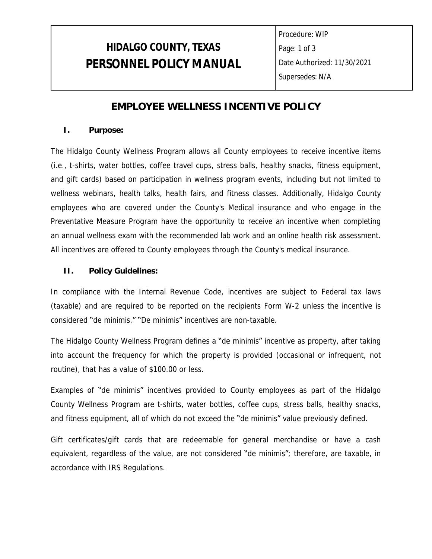## **HIDALGO COUNTY, TEXAS PERSONNEL POLICY MANUAL**

Procedure: WIP Page: 1 of 3 Date Authorized: 11/30/2021 Supersedes: N/A

## **EMPLOYEE WELLNESS INCENTIVE POLICY**

### **I. Purpose:**

The Hidalgo County Wellness Program allows all County employees to receive incentive items (i.e., t-shirts, water bottles, coffee travel cups, stress balls, healthy snacks, fitness equipment, and gift cards) based on participation in wellness program events, including but not limited to wellness webinars, health talks, health fairs, and fitness classes. Additionally, Hidalgo County employees who are covered under the County's Medical insurance and who engage in the Preventative Measure Program have the opportunity to receive an incentive when completing an annual wellness exam with the recommended lab work and an online health risk assessment. All incentives are offered to County employees through the County's medical insurance.

### **II. Policy Guidelines:**

In compliance with the Internal Revenue Code, incentives are subject to Federal tax laws (taxable) and are required to be reported on the recipients Form W-2 unless the incentive is considered "de minimis." "De minimis" incentives are non-taxable.

The Hidalgo County Wellness Program defines a "de minimis" incentive as property, after taking into account the frequency for which the property is provided (occasional or infrequent, not routine), that has a value of \$100.00 or less.

Examples of "de minimis" incentives provided to County employees as part of the Hidalgo County Wellness Program are t-shirts, water bottles, coffee cups, stress balls, healthy snacks, and fitness equipment, all of which do not exceed the "de minimis" value previously defined.

Gift certificates/gift cards that are redeemable for general merchandise or have a cash equivalent, regardless of the value, are not considered "de minimis"; therefore, are taxable, in accordance with IRS Regulations.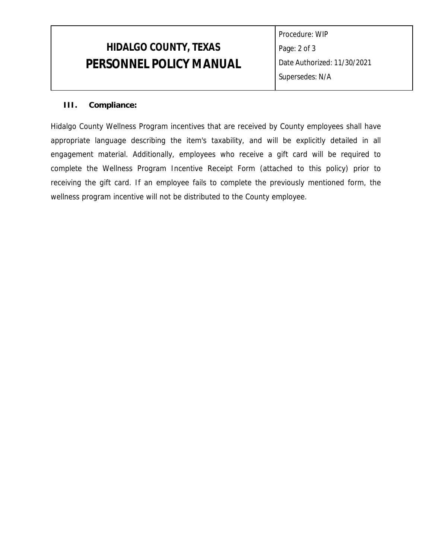# **HIDALGO COUNTY, TEXAS PERSONNEL POLICY MANUAL**

Procedure: WIP Page: 2 of 3 Date Authorized: 11/30/2021 Supersedes: N/A

### **III. Compliance:**

Hidalgo County Wellness Program incentives that are received by County employees shall have appropriate language describing the item's taxability, and will be explicitly detailed in all engagement material. Additionally, employees who receive a gift card will be required to complete the Wellness Program Incentive Receipt Form (attached to this policy) prior to receiving the gift card. If an employee fails to complete the previously mentioned form, the wellness program incentive will not be distributed to the County employee.